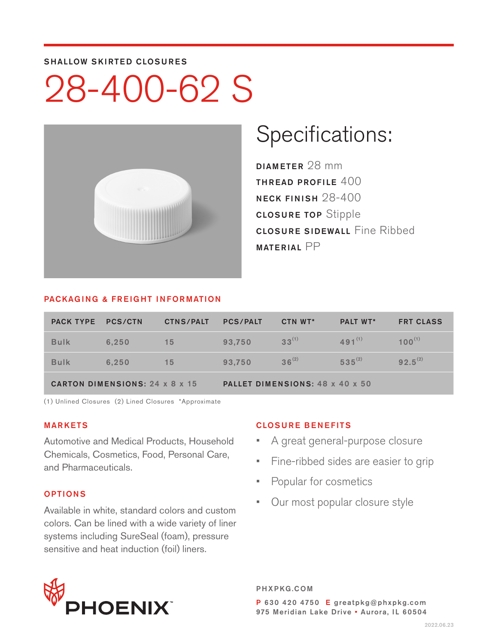#### SHALLOW SKIRTED CLOSURES

# 28-400-62 S



### Specifications:

DIAMETER 28 mm THREAD PROFILE 400 NECK FINISH 28-400 CLOSURE TOP Stipple **CLOSURE SIDEWALL Fine Ribbed** MATERIAL PP

#### PACKAGING & FREIGHT INFORMATION

| <b>PACK TYPE</b>                      | PCS/CTN | <b>CTNS/PALT</b> | <b>PCS/PALT</b>                 | CTN WT*    | <b>PALT WT*</b> | <b>FRT CLASS</b> |  |  |
|---------------------------------------|---------|------------------|---------------------------------|------------|-----------------|------------------|--|--|
| <b>Bulk</b>                           | 6.250   | 15               | 93.750                          | $33^{(1)}$ | $491^{(1)}$     | $100^{(1)}$      |  |  |
| <b>Bulk</b>                           | 6.250   | 15               | 93.750                          | $36^{(2)}$ | $535^{(2)}$     | $92.5^{(2)}$     |  |  |
| <b>CARTON DIMENSIONS: 24 x 8 x 15</b> |         |                  | PALLET DIMENSIONS: 48 x 40 x 50 |            |                 |                  |  |  |

(1) Unlined Closures (2) Lined Closures \*Approximate

#### MARKETS

Automotive and Medical Products, Household Chemicals, Cosmetics, Food, Personal Care, and Pharmaceuticals.

#### OPTIONS

Available in white, standard colors and custom colors. Can be lined with a wide variety of liner systems including SureSeal (foam), pressure sensitive and heat induction (foil) liners.

#### CLOSURE BENEFITS

- A great general-purpose closure
- Fine-ribbed sides are easier to grip
- Popular for cosmetics
- Our most popular closure style



PHXPKG.COM P 630 420 4750 E greatpkg@phxpkg.com 975 Meridian Lake Drive · Aurora, IL 60504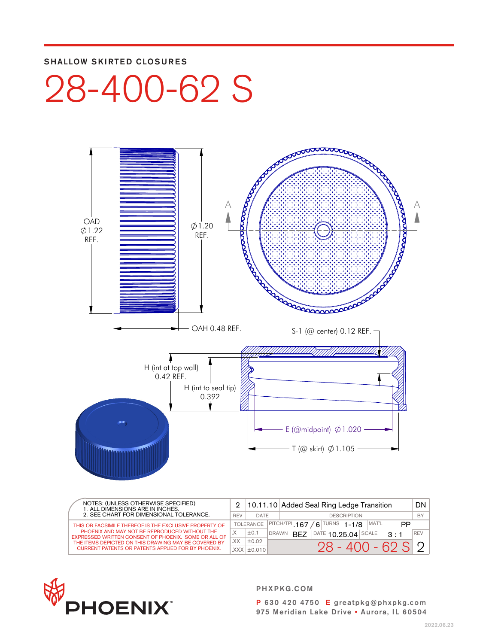#### SHALLOW SKIRTED CLOSURES

## 28-400-62 S



| NOTES: (UNLESS OTHERWISE SPECIFIED)<br>1. ALL DIMENSIONS ARE IN INCHES.<br>2. SEE CHART FOR DIMENSIONAL TOLERANCE. |        |                                                                    | 2   10.11.10 Added Seal Ring Ledge Transition |                                             |            |
|--------------------------------------------------------------------------------------------------------------------|--------|--------------------------------------------------------------------|-----------------------------------------------|---------------------------------------------|------------|
|                                                                                                                    |        | DATE                                                               | <b>DESCRIPTION</b>                            |                                             |            |
| THIS OR FACSIMILE THEREOF IS THE EXCLUSIVE PROPERTY OF                                                             |        | $/6$ TURNS 1-1/8<br>$ $ PITCH/TPI 167<br>MAT'L<br><b>TOLERANCE</b> |                                               | PP                                          |            |
| PHOENIX AND MAY NOT BE REPRODUCED WITHOUT THE<br>EXPRESSED WRITTEN CONSENT OF PHOENIX. SOME OR ALL OF              | $\vee$ | ±0.1                                                               | <b>DRAWN</b>                                  | DATE $10.25.04$ SCALE<br>RF7<br>$2 \cdot 1$ | <b>REV</b> |
| THE ITEMS DEPICTED ON THIS DRAWING MAY BE COVERED BY                                                               | XX.    | ±0.02                                                              |                                               |                                             |            |
| <b>CURRENT PATENTS OR PATENTS APPLIED FOR BY PHOENIX.</b>                                                          |        | $XXX$ $\pm$ 0.010                                                  |                                               | $28 - 400 - 62 S 2$                         |            |



PHXPKG.COM

P 630 420 4750 E greatpkg@phxpkg.com 975 Meridian Lake Drive • Aurora, IL 60504